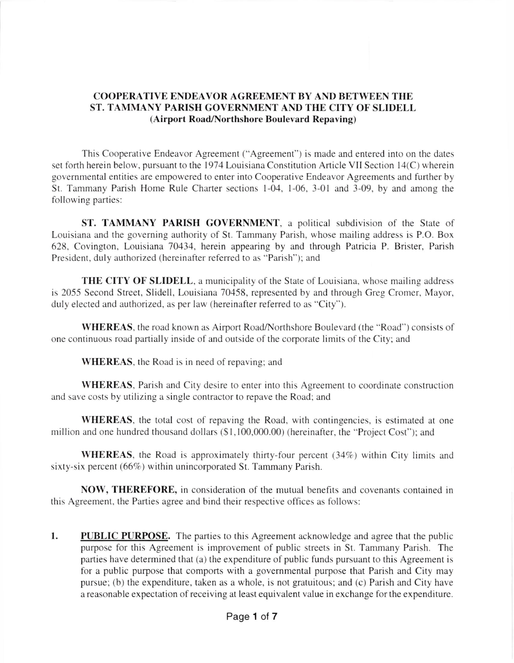## COOPERATIVE ENDEAVOR AGREEMENT BY AND BETWEEN THE ST. TAMMANY PARISH GOVERNMENT AND THE CITY OF SLIDELL (Airport Road/Northshore Boulevard Repaving)

This Cooperative Endeavor Agreement ("Agreement") is made and entered into on the dates set forth herein below, pursuant to the 1974 Louisiana Constitution Article VII Section 14(C) wherein governmental entities are empowered to enter into Cooperative Endeavor Agreements and lurther by St. Tammany Parish Home Rule Charter sections 1-04, 1-06, 3-01 and 3-09, by and among the following parties:

ST. TAMMANY PARISH GOVERNMENT, a political subdivision of the State of Louisiana and the governing authority of St. Tammany Parish, whose mailing address is P.O. Box 628, Covington, Louisiana 70434, herein appearing by and through Patricia P. Brister, Parish President. duly authorized (hereinafter referred to as "Parish"); and

THE CITY OF SLIDELL, a municipality of the State of Louisiana, whose mailing address is 2055 Second Street, Slidell, Louisiana 70458, represented by and through Greg Cromer, Mayor, duly elected and authorized, as per law (hereinafter referred to as "City").

WHEREAS, the road known as Airport Road/Northshore Boulevard (the "Road") consists of one continuous road partially inside of and outside of the corporate limits of the City; and

WHEREAS, the Road is in need of repaving; and

WHEREAS, Parish and City desire to enter into this Agreement to coordinate construction and save costs by utilizing a single contractor to repave the Road; and

WHEREAS, the total cost of repaving the Road, with contingencies, is estimated at one million and one hundred thousand dollars (\$1,100,000.00) (hereinafter, the "Project Cost"); and

WHEREAS, the Road is approximately thirty-four percent  $(34\%)$  within City limits and sixty-six percent (66%) within unincorporated St. Tammany Parish.

NOW, THEREFORE, in consideration of the mutual benefits and covenants contained in this Agreement, the Parties agree and bind their respective offices as follows:

PUBLIC PURPOSE. The parties to this Agreement acknowledge and agree that the public purpose for this Agreement is improvement of public streets in St. Tammany Parish. The parties have determined that (a) the expenditure of public funds pursuant to this Agreement is for a public purpose that comports with a governmental purpose that Parish and City may pursue; (b) the expenditure, taken as a whole, is not gratuitous; and (c) Parish and City have a reasonable expectation of receiving at least equivalent value in exchange for the expenditure. I